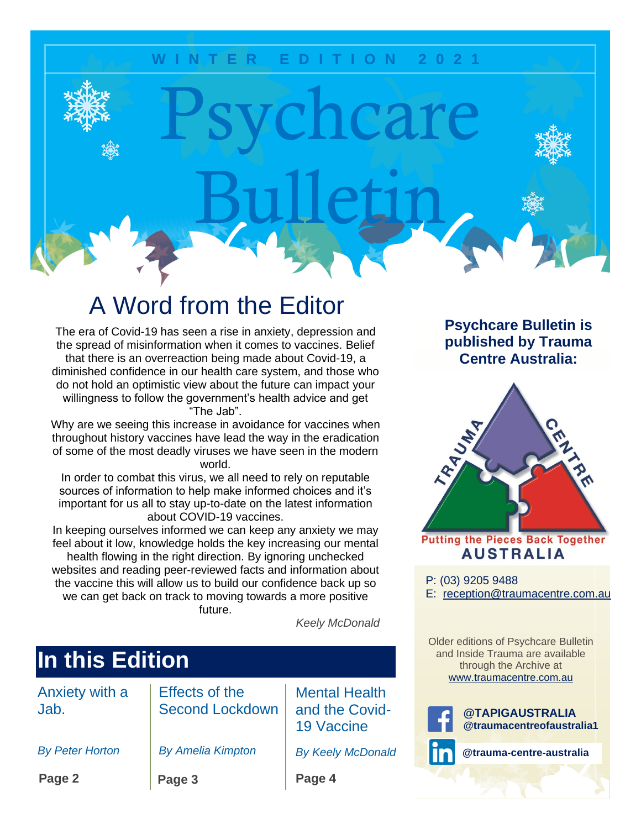### **W I N T E R E D I T I O N 2 0 2 1**

Psychcare

Bulletin

## A Word from the Editor

The era of Covid-19 has seen a rise in anxiety, depression and the spread of misinformation when it comes to vaccines. Belief that there is an overreaction being made about Covid-19, a diminished confidence in our health care system, and those who do not hold an optimistic view about the future can impact your willingness to follow the government's health advice and get

"The Jab".

Why are we seeing this increase in avoidance for vaccines when throughout history vaccines have lead the way in the eradication of some of the most deadly viruses we have seen in the modern world.

In order to combat this virus, we all need to rely on reputable sources of information to help make informed choices and it's important for us all to stay up-to-date on the latest information about COVID-19 vaccines.

In keeping ourselves informed we can keep any anxiety we may feel about it low, knowledge holds the key increasing our mental health flowing in the right direction. By ignoring unchecked websites and reading peer-reviewed facts and information about the vaccine this will allow us to build our confidence back up so we can get back on track to moving towards a more positive future.

 *Keely McDonald*

| In this Edition        |                                                 |                                                             |
|------------------------|-------------------------------------------------|-------------------------------------------------------------|
| Anxiety with a<br>Jab. | <b>Effects of the</b><br><b>Second Lockdown</b> | <b>Mental Health</b><br>and the Covid-<br><b>19 Vaccine</b> |
| <b>By Peter Horton</b> | <b>By Amelia Kimpton</b>                        | <b>By Keely McDonald</b>                                    |
| Page 2                 | Page 3                                          | Page 4                                                      |

### **Psychcare Bulletin is published by Trauma Centre Australia:**



**Putting the Pieces Back Together AUSTRALIA** 

P: (03) 9205 9488 E: [reception@traumacentre.com.au](mailto:reception@traumacentre.com.au)

Older editions of Psychcare Bulletin and Inside Trauma are available through the Archive at [www.traumacentre.com.au](http://www.traumacentre.com.au/)



**@TAPIGAUSTRALIA @traumacentreofaustralia1**

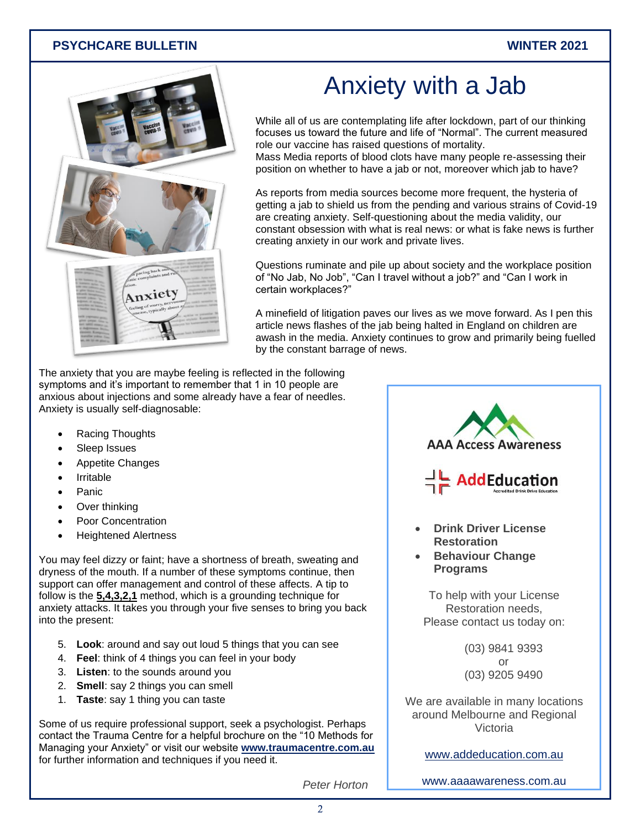#### **PSYCHCARE BULLETIN WINTER 2021**



# Anxiety with a Jab

While all of us are contemplating life after lockdown, part of our thinking focuses us toward the future and life of "Normal". The current measured role our vaccine has raised questions of mortality.

Mass Media reports of blood clots have many people re-assessing their position on whether to have a jab or not, moreover which jab to have?

As reports from media sources become more frequent, the hysteria of getting a jab to shield us from the pending and various strains of Covid-19 are creating anxiety. Self-questioning about the media validity, our constant obsession with what is real news: or what is fake news is further creating anxiety in our work and private lives.

Questions ruminate and pile up about society and the workplace position of "No Jab, No Job", "Can I travel without a job?" and "Can I work in certain workplaces?"

A minefield of litigation paves our lives as we move forward. As I pen this article news flashes of the jab being halted in England on children are awash in the media. Anxiety continues to grow and primarily being fuelled by the constant barrage of news.

The anxiety that you are maybe feeling is reflected in the following symptoms and it's important to remember that 1 in 10 people are anxious about injections and some already have a fear of needles. Anxiety is usually self-diagnosable:

- Racing Thoughts
- Sleep Issues
- Appetite Changes
- **Irritable**
- Panic
- Over thinking
- Poor Concentration
- Heightened Alertness

You may feel dizzy or faint; have a shortness of breath, sweating and dryness of the mouth. If a number of these symptoms continue, then support can offer management and control of these affects. A tip to follow is the **5,4,3,2,1** method, which is a grounding technique for anxiety attacks. It takes you through your five senses to bring you back into the present:

- 5. **Look**: around and say out loud 5 things that you can see
- 4. **Feel**: think of 4 things you can feel in your body
- 3. **Listen**: to the sounds around you
- 2. **Smell**: say 2 things you can smell
- 1. **Taste**: say 1 thing you can taste

Some of us require professional support, seek a psychologist. Perhaps contact the Trauma Centre for a helpful brochure on the "10 Methods for Managing your Anxiety" or visit our website **[www.traumacentre.com.au](http://www.traumacentre.com.au/)** for further information and techniques if you need it.



We are available in many locations around Melbourne and Regional Victoria

[www.addeducation.com.au](http://www.addeducation.com.au/)

*Peter Horton*

[www.aaaawareness.com.au](http://www.aaaawareness.com.au/)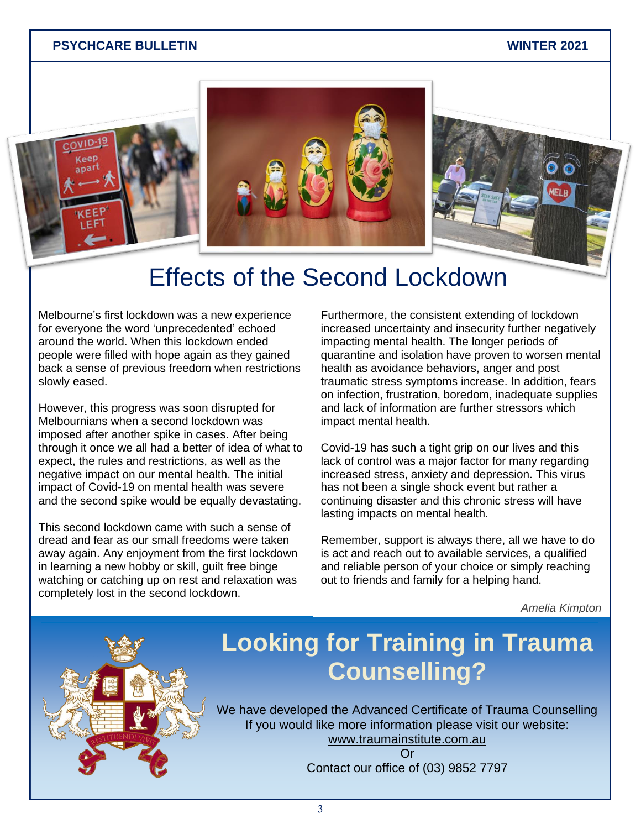#### **PSYCHCARE BULLETIN WINTER 2021**



### Effects of the Second Lockdown

Melbourne's first lockdown was a new experience for everyone the word 'unprecedented' echoed around the world. When this lockdown ended people were filled with hope again as they gained back a sense of previous freedom when restrictions slowly eased.

However, this progress was soon disrupted for Melbournians when a second lockdown was imposed after another spike in cases. After being through it once we all had a better of idea of what to expect, the rules and restrictions, as well as the negative impact on our mental health. The initial impact of Covid-19 on mental health was severe and the second spike would be equally devastating.

This second lockdown came with such a sense of dread and fear as our small freedoms were taken away again. Any enjoyment from the first lockdown in learning a new hobby or skill, guilt free binge watching or catching up on rest and relaxation was completely lost in the second lockdown.

Furthermore, the consistent extending of lockdown increased uncertainty and insecurity further negatively impacting mental health. The longer periods of quarantine and isolation have proven to worsen mental health as avoidance behaviors, anger and post traumatic stress symptoms increase. In addition, fears on infection, frustration, boredom, inadequate supplies and lack of information are further stressors which impact mental health.

Covid-19 has such a tight grip on our lives and this lack of control was a major factor for many regarding increased stress, anxiety and depression. This virus has not been a single shock event but rather a continuing disaster and this chronic stress will have lasting impacts on mental health.

Remember, support is always there, all we have to do is act and reach out to available services, a qualified and reliable person of your choice or simply reaching out to friends and family for a helping hand.

*Amelia Kimpton*

## **Looking for Training in Trauma Counselling?**

We have developed the Advanced Certificate of Trauma Counselling<br>If you would like more information please visit our website: www.traumainstitute.com.au<br>Or If you would like more information please visit our website:

Or Contact our office of (03) 9852 7797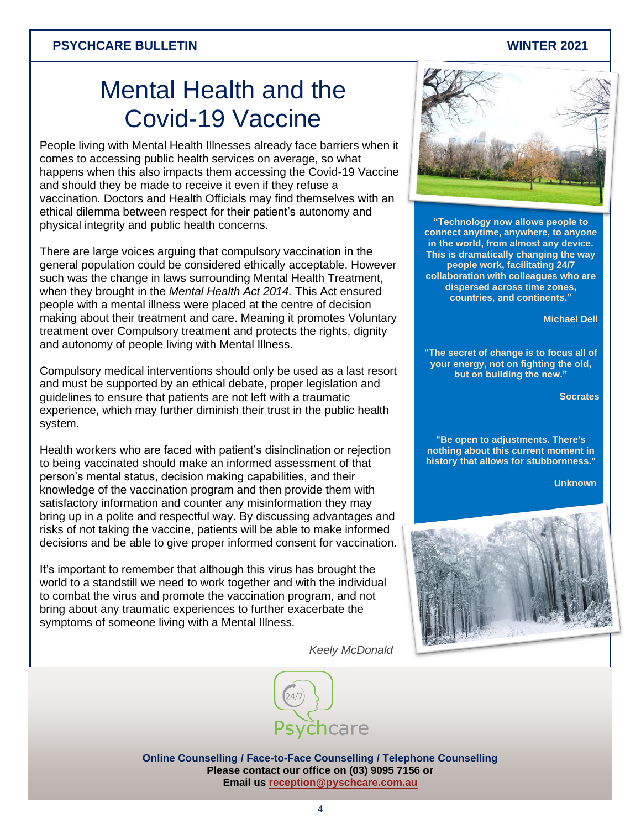#### **PSYCHCARE BULLETIN WINTER 2021**

## Mental Health and the Covid-19 Vaccine

People living with Mental Health Illnesses already face barriers when it comes to accessing public health services on average, so what happens when this also impacts them accessing the Covid-19 Vaccine and should they be made to receive it even if they refuse a vaccination. Doctors and Health Officials may find themselves with an ethical dilemma between respect for their patient's autonomy and physical integrity and public health concerns.

There are large voices arguing that compulsory vaccination in the general population could be considered ethically acceptable. However such was the change in laws surrounding Mental Health Treatment, when they brought in the *Mental Health Act 2014.* This Act ensured people with a mental illness were placed at the centre of decision making about their treatment and care. Meaning it promotes Voluntary treatment over Compulsory treatment and protects the rights, dignity and autonomy of people living with Mental Illness.

Compulsory medical interventions should only be used as a last resort and must be supported by an ethical debate, proper legislation and guidelines to ensure that patients are not left with a traumatic experience, which may further diminish their trust in the public health system.

Health workers who are faced with patient's disinclination or rejection to being vaccinated should make an informed assessment of that person's mental status, decision making capabilities, and their knowledge of the vaccination program and then provide them with satisfactory information and counter any misinformation they may bring up in a polite and respectful way. By discussing advantages and risks of not taking the vaccine, patients will be able to make informed decisions and be able to give proper informed consent for vaccination.

It's important to remember that although this virus has brought the world to a standstill we need to work together and with the individual to combat the virus and promote the vaccination program, and not bring about any traumatic experiences to further exacerbate the symptoms of someone living with a Mental Illness.

*Keely McDonald*



**Online Counselling / Face-to-Face Counselling / Telephone Counselling Please contact our office on (03) 9095 7156 or Email us [reception@pyschcare.com.au](mailto:reception@pyschcare.com.au)**



**"Technology now allows people to connect anytime, anywhere, to anyone in the world, from almost any device. This is dramatically changing the way people work, facilitating 24/7 collaboration with colleagues who are dispersed across time zones, countries, and continents."**

 **Michael Dell**

**"The secret of change is to focus all of your energy, not on fighting the old, but on building the new."**

**Socrates**

**"Be open to adjustments. There's nothing about this current moment in history that allows for stubbornness."** 

 **Unknown**